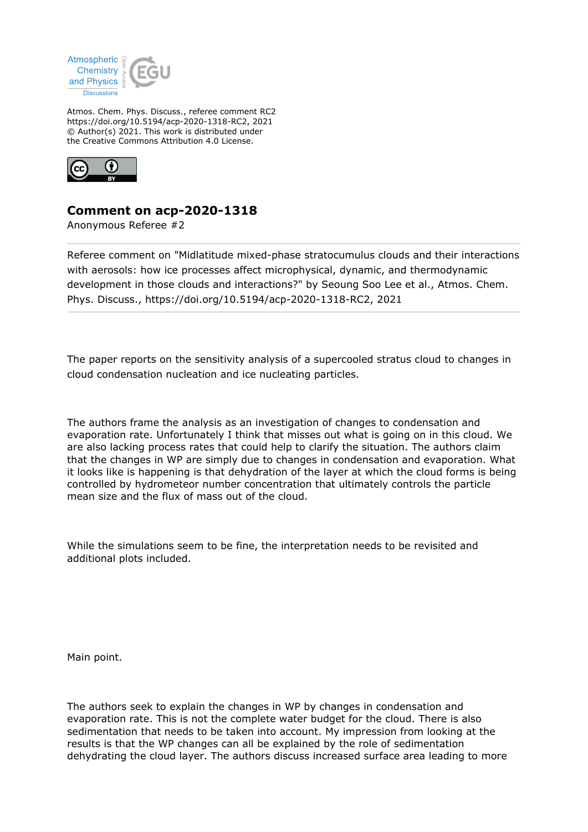

Atmos. Chem. Phys. Discuss., referee comment RC2 https://doi.org/10.5194/acp-2020-1318-RC2, 2021 © Author(s) 2021. This work is distributed under the Creative Commons Attribution 4.0 License.



## **Comment on acp-2020-1318**

Anonymous Referee #2

Referee comment on "Midlatitude mixed-phase stratocumulus clouds and their interactions with aerosols: how ice processes affect microphysical, dynamic, and thermodynamic development in those clouds and interactions?" by Seoung Soo Lee et al., Atmos. Chem. Phys. Discuss., https://doi.org/10.5194/acp-2020-1318-RC2, 2021

The paper reports on the sensitivity analysis of a supercooled stratus cloud to changes in cloud condensation nucleation and ice nucleating particles.

The authors frame the analysis as an investigation of changes to condensation and evaporation rate. Unfortunately I think that misses out what is going on in this cloud. We are also lacking process rates that could help to clarify the situation. The authors claim that the changes in WP are simply due to changes in condensation and evaporation. What it looks like is happening is that dehydration of the layer at which the cloud forms is being controlled by hydrometeor number concentration that ultimately controls the particle mean size and the flux of mass out of the cloud.

While the simulations seem to be fine, the interpretation needs to be revisited and additional plots included.

Main point.

The authors seek to explain the changes in WP by changes in condensation and evaporation rate. This is not the complete water budget for the cloud. There is also sedimentation that needs to be taken into account. My impression from looking at the results is that the WP changes can all be explained by the role of sedimentation dehydrating the cloud layer. The authors discuss increased surface area leading to more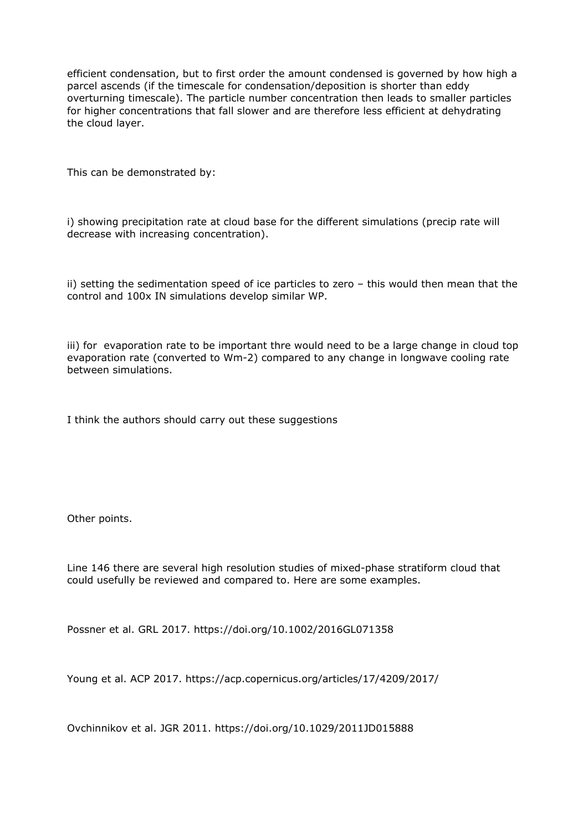efficient condensation, but to first order the amount condensed is governed by how high a parcel ascends (if the timescale for condensation/deposition is shorter than eddy overturning timescale). The particle number concentration then leads to smaller particles for higher concentrations that fall slower and are therefore less efficient at dehydrating the cloud layer.

This can be demonstrated by:

i) showing precipitation rate at cloud base for the different simulations (precip rate will decrease with increasing concentration).

ii) setting the sedimentation speed of ice particles to zero – this would then mean that the control and 100x IN simulations develop similar WP.

iii) for evaporation rate to be important thre would need to be a large change in cloud top evaporation rate (converted to Wm-2) compared to any change in longwave cooling rate between simulations.

I think the authors should carry out these suggestions

Other points.

Line 146 there are several high resolution studies of mixed-phase stratiform cloud that could usefully be reviewed and compared to. Here are some examples.

Possner et al. GRL 2017. https://doi.org/10.1002/2016GL071358

Young et al. ACP 2017. https://acp.copernicus.org/articles/17/4209/2017/

Ovchinnikov et al. JGR 2011. https://doi.org/10.1029/2011JD015888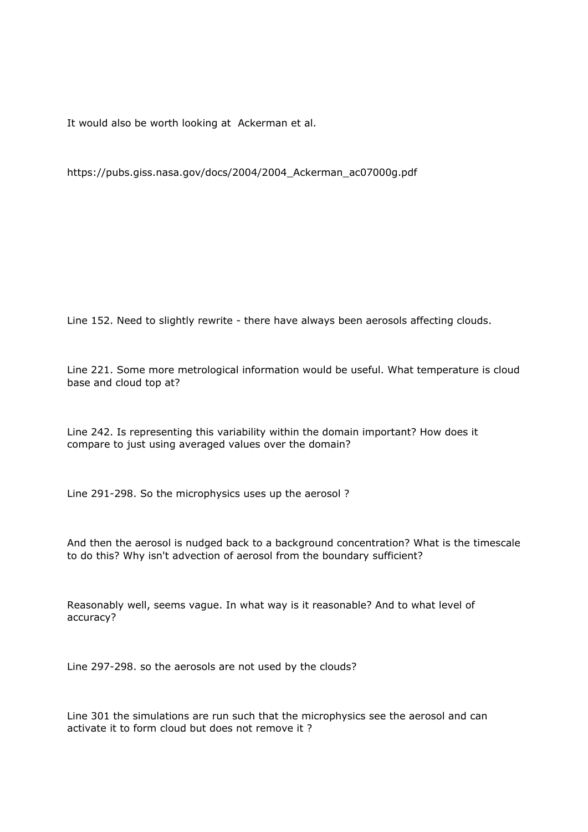It would also be worth looking at Ackerman et al.

https://pubs.giss.nasa.gov/docs/2004/2004\_Ackerman\_ac07000g.pdf

Line 152. Need to slightly rewrite - there have always been aerosols affecting clouds.

Line 221. Some more metrological information would be useful. What temperature is cloud base and cloud top at?

Line 242. Is representing this variability within the domain important? How does it compare to just using averaged values over the domain?

Line 291-298. So the microphysics uses up the aerosol ?

And then the aerosol is nudged back to a background concentration? What is the timescale to do this? Why isn't advection of aerosol from the boundary sufficient?

Reasonably well, seems vague. In what way is it reasonable? And to what level of accuracy?

Line 297-298. so the aerosols are not used by the clouds?

Line 301 the simulations are run such that the microphysics see the aerosol and can activate it to form cloud but does not remove it ?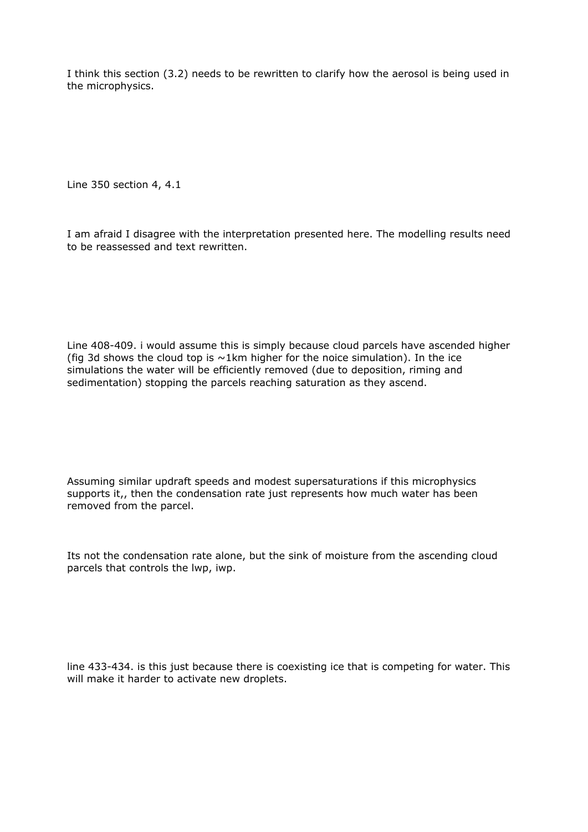I think this section (3.2) needs to be rewritten to clarify how the aerosol is being used in the microphysics.

Line 350 section 4, 4.1

I am afraid I disagree with the interpretation presented here. The modelling results need to be reassessed and text rewritten.

Line 408-409. i would assume this is simply because cloud parcels have ascended higher (fig 3d shows the cloud top is  $\sim$ 1km higher for the noice simulation). In the ice simulations the water will be efficiently removed (due to deposition, riming and sedimentation) stopping the parcels reaching saturation as they ascend.

Assuming similar updraft speeds and modest supersaturations if this microphysics supports it,, then the condensation rate just represents how much water has been removed from the parcel.

Its not the condensation rate alone, but the sink of moisture from the ascending cloud parcels that controls the lwp, iwp.

line 433-434. is this just because there is coexisting ice that is competing for water. This will make it harder to activate new droplets.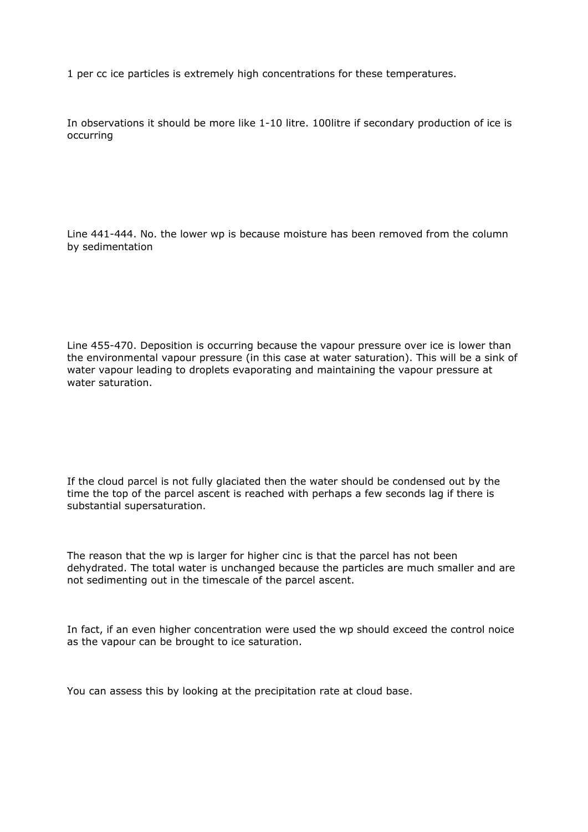1 per cc ice particles is extremely high concentrations for these temperatures.

In observations it should be more like 1-10 litre. 100litre if secondary production of ice is occurring

Line 441-444. No. the lower wp is because moisture has been removed from the column by sedimentation

Line 455-470. Deposition is occurring because the vapour pressure over ice is lower than the environmental vapour pressure (in this case at water saturation). This will be a sink of water vapour leading to droplets evaporating and maintaining the vapour pressure at water saturation.

If the cloud parcel is not fully glaciated then the water should be condensed out by the time the top of the parcel ascent is reached with perhaps a few seconds lag if there is substantial supersaturation.

The reason that the wp is larger for higher cinc is that the parcel has not been dehydrated. The total water is unchanged because the particles are much smaller and are not sedimenting out in the timescale of the parcel ascent.

In fact, if an even higher concentration were used the wp should exceed the control noice as the vapour can be brought to ice saturation.

You can assess this by looking at the precipitation rate at cloud base.